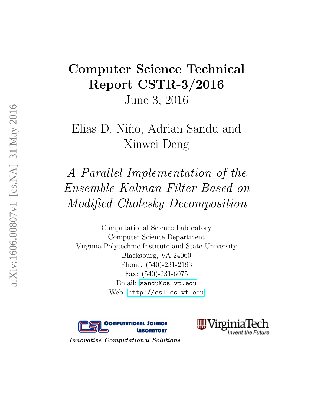# <span id="page-0-0"></span>Computer Science Technical Report CSTR-3/2016 June 3, 2016

# Elias D. Niño, Adrian Sandu and Xinwei Deng

A Parallel Implementation of the Ensemble Kalman Filter Based on Modified Cholesky Decomposition

Computational Science Laboratory Computer Science Department Virginia Polytechnic Institute and State University Blacksburg, VA 24060 Phone: (540)-231-2193 Fax: (540)-231-6075 Email: <sandu@cs.vt.edu> Web: <http://csl.cs.vt.edu>





Innovative Computational Solutions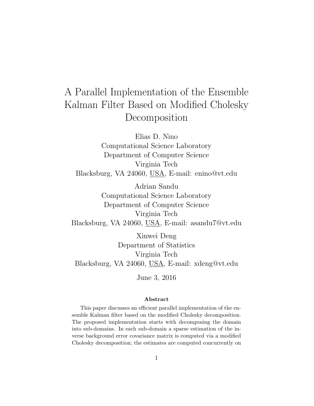# A Parallel Implementation of the Ensemble Kalman Filter Based on Modified Cholesky Decomposition

Elias D. Nino Computational Science Laboratory Department of Computer Science Virginia Tech Blacksburg, VA 24060, USA, E-mail: enino@vt.edu

Adrian Sandu Computational Science Laboratory Department of Computer Science Virginia Tech Blacksburg, VA 24060, USA, E-mail: asandu7@vt.edu

Xinwei Deng Department of Statistics Virginia Tech Blacksburg, VA 24060, USA, E-mail: xdeng@vt.edu

June 3, 2016

#### Abstract

This paper discusses an efficient parallel implementation of the ensemble Kalman filter based on the modified Cholesky decomposition. The proposed implementation starts with decomposing the domain into sub-domains. In each sub-domain a sparse estimation of the inverse background error covariance matrix is computed via a modified Cholesky decomposition; the estimates are computed concurrently on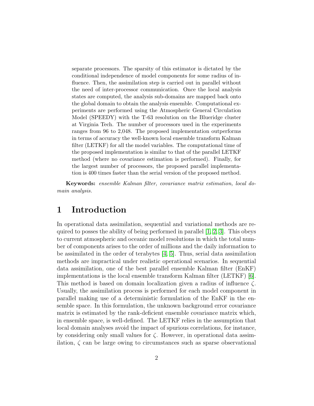separate processors. The sparsity of this estimator is dictated by the conditional independence of model components for some radius of influence. Then, the assimilation step is carried out in parallel without the need of inter-processor communication. Once the local analysis states are computed, the analysis sub-domains are mapped back onto the global domain to obtain the analysis ensemble. Computational experiments are performed using the Atmospheric General Circulation Model (SPEEDY) with the T-63 resolution on the Blueridge cluster at Virginia Tech. The number of processors used in the experiments ranges from 96 to 2,048. The proposed implementation outperforms in terms of accuracy the well-known local ensemble transform Kalman filter (LETKF) for all the model variables. The computational time of the proposed implementation is similar to that of the parallel LETKF method (where no covariance estimation is performed). Finally, for the largest number of processors, the proposed parallel implementation is 400 times faster than the serial version of the proposed method.

Keywords: ensemble Kalman filter, covariance matrix estimation, local domain analysis.

# 1 Introduction

In operational data assimilation, sequential and variational methods are required to posses the ability of being performed in parallel  $[1, 2, 3]$  $[1, 2, 3]$  $[1, 2, 3]$ . This obeys to current atmospheric and oceanic model resolutions in which the total number of components arises to the order of millions and the daily information to be assimilated in the order of terabytes [\[4,](#page-20-3) [5\]](#page-20-4). Thus, serial data assimilation methods are impractical under realistic operational scenarios. In sequential data assimilation, one of the best parallel ensemble Kalman filter (EnKF) implementations is the local ensemble transform Kalman filter (LETKF) [\[6\]](#page-21-0). This method is based on domain localization given a radius of influence  $\zeta$ . Usually, the assimilation process is performed for each model component in parallel making use of a deterministic formulation of the EnKF in the ensemble space. In this formulation, the unknown background error covariance matrix is estimated by the rank-deficient ensemble covariance matrix which, in ensemble space, is well-defined. The LETKF relies in the assumption that local domain analyses avoid the impact of spurious correlations, for instance, by considering only small values for  $\zeta$ . However, in operational data assimilation,  $\zeta$  can be large owing to circumstances such as sparse observational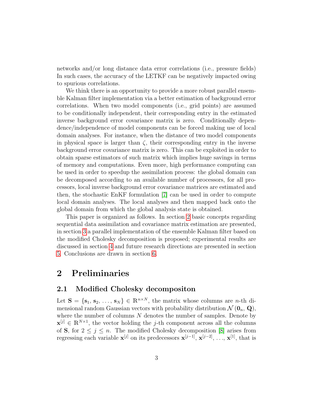networks and/or long distance data error correlations (i.e., pressure fields) In such cases, the accuracy of the LETKF can be negatively impacted owing to spurious correlations.

We think there is an opportunity to provide a more robust parallel ensemble Kalman filter implementation via a better estimation of background error correlations. When two model components (i.e., grid points) are assumed to be conditionally independent, their corresponding entry in the estimated inverse background error covariance matrix is zero. Conditionally dependence/independence of model components can be forced making use of local domain analyses. For instance, when the distance of two model components in physical space is larger than  $\zeta$ , their corresponding entry in the inverse background error covariance matrix is zero. This can be exploited in order to obtain sparse estimators of such matrix which implies huge savings in terms of memory and computations. Even more, high performance computing can be used in order to speedup the assimilation process: the global domain can be decomposed according to an available number of processors, for all processors, local inverse background error covariance matrices are estimated and then, the stochastic EnKF formulation [\[7\]](#page-21-1) can be used in order to compute local domain analyses. The local analyses and then mapped back onto the global domain from which the global analysis state is obtained.

This paper is organized as follows. In section [2](#page-3-0) basic concepts regarding sequential data assimilation and covariance matrix estimation are presented, in section [3](#page-8-0) a parallel implementation of the ensemble Kalman filter based on the modified Cholesky decomposition is proposed; experimental results are discussed in section [4](#page-12-0) and future research directions are presented in section [5.](#page-18-0) Conclusions are drawn in section [6.](#page-19-0)

## <span id="page-3-0"></span>2 Preliminaries

### <span id="page-3-1"></span>2.1 Modified Cholesky decompositon

Let  $S = \{s_1, s_2, \ldots, s_N\} \in \mathbb{R}^{n \times N}$ , the matrix whose columns are *n*-th dimensional random Gaussian vectors with probability distribution  $\mathcal{N}(\mathbf{0}_n, \mathbf{Q}),$ where the number of columns  $N$  denotes the number of samples. Denote by  $\mathbf{x}^{[j]} \in \mathbb{R}^{N \times 1}$ , the vector holding the j-th component across all the columns of **S**, for  $2 \leq j \leq n$ . The modified Cholesky decomposition [\[8\]](#page-21-2) arises from regressing each variable  $\mathbf{x}^{[j]}$  on its predecessors  $\mathbf{x}^{[j-1]}, \mathbf{x}^{[j-2]}, \ldots, \mathbf{x}^{[1]},$  that is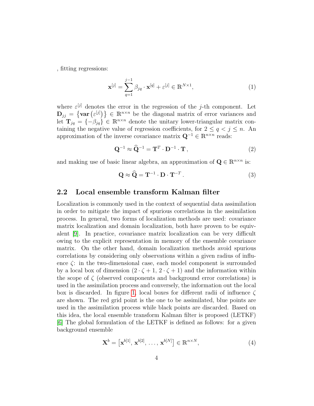, fitting regressions:

<span id="page-4-1"></span>
$$
\mathbf{x}^{[j]} = \sum_{q=1}^{j-1} \beta_{jq} \cdot \mathbf{x}^{[q]} + \varepsilon^{[j]} \in \mathbb{R}^{N \times 1},\tag{1}
$$

where  $\varepsilon^{[j]}$  denotes the error in the regression of the j-th component. Let  $\mathbf{D}_{jj} = \{ \text{var}(\varepsilon^{[j]}) \} \in \mathbb{R}^{n \times n}$  be the diagonal matrix of error variances and let  $\mathbf{T}_{jq} = \{-\beta_{jq}\}\in \mathbb{R}^{n \times n}$  denote the unitary lower-triangular matrix containing the negative value of regression coefficients, for  $2 \le q < j \le n$ . An approximation of the inverse covariance matrix  $\mathbf{Q}^{-1} \in \mathbb{R}^{n \times n}$  reads:

$$
\mathbf{Q}^{-1} \approx \hat{\mathbf{Q}}^{-1} = \mathbf{T}^T \cdot \mathbf{D}^{-1} \cdot \mathbf{T},\tag{2}
$$

and making use of basic linear algebra, an approximation of  $\mathbf{Q} \in \mathbb{R}^{n \times n}$  is:

<span id="page-4-0"></span>
$$
\mathbf{Q} \approx \widehat{\mathbf{Q}} = \mathbf{T}^{-1} \cdot \mathbf{D} \cdot \mathbf{T}^{-T} . \tag{3}
$$

#### 2.2 Local ensemble transform Kalman filter

Localization is commonly used in the context of sequential data assimilation in order to mitigate the impact of spurious correlations in the assimilation process. In general, two forms of localization methods are used: covariance matrix localization and domain localization, both have proven to be equivalent [\[9\]](#page-21-3). In practice, covariance matrix localization can be very difficult owing to the explicit representation in memory of the ensemble covariance matrix. On the other hand, domain localization methods avoid spurious correlations by considering only observations within a given radius of influence ζ: in the two-dimensional case, each model component is surrounded by a local box of dimension  $(2 \cdot \zeta + 1, 2 \cdot \zeta + 1)$  and the information within the scope of  $\zeta$  (observed components and background error correlations) is used in the assimilation process and conversely, the information out the local box is discarded. In figure [1,](#page-5-0) local boxes for different radii of influence  $\zeta$ are shown. The red grid point is the one to be assimilated, blue points are used in the assimilation process while black points are discarded. Based on this idea, the local ensemble transform Kalman filter is proposed (LETKF) [\[6\]](#page-21-0) The global formulation of the LETKF is defined as follows: for a given background ensemble

$$
\mathbf{X}^{b} = \left[ \mathbf{x}^{b[1]}, \mathbf{x}^{b[2]}, \dots, \mathbf{x}^{b[N]} \right] \in \mathbb{R}^{n \times N},\tag{4}
$$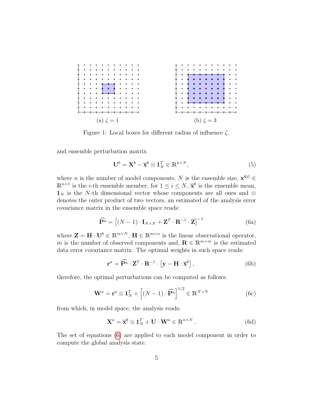<span id="page-5-0"></span>

Figure 1: Local boxes for different radius of influence  $\zeta$ .

and ensemble perturbation matrix

<span id="page-5-2"></span><span id="page-5-1"></span>
$$
\mathbf{U}^b = \mathbf{X}^b - \overline{\mathbf{x}}^b \otimes \mathbf{1}_N^T \in \mathbb{R}^{n \times N},\tag{5}
$$

where *n* is the number of model components, N is the ensemble size,  $\mathbf{x}^{b[i]} \in$  $\mathbb{R}^{n\times 1}$  is the *i*-th ensemble member, for  $1 \leq i \leq N$ ,  $\bar{\mathbf{x}}^b$  is the ensemble mean,  $\mathbf{1}_N$  is the N-th dimensional vector whose components are all ones and ⊗ denotes the outer product of two vectors, an estimated of the analysis error covariance matrix in the ensemble space reads:

$$
\widehat{\mathbf{P}^a} = \left[ (N-1) \cdot \mathbf{I}_{N \times N} + \mathbf{Z}^T \cdot \mathbf{R}^{-1} \cdot \mathbf{Z} \right]^{-1}
$$
(6a)

where  $\mathbf{Z} = \mathbf{H} \cdot \mathbf{U}^b \in \mathbb{R}^{m \times N}$ ,  $\mathbf{H} \in \mathbb{R}^{m \times n}$  is the linear observational operator, m is the number of observed components and,  $\mathbf{R} \in \mathbb{R}^{m \times m}$  is the estimated data error covariance matrix. The optimal weights in such space reads:

$$
\mathbf{r}^{a} = \widehat{\mathbf{P}^{a}} \cdot \mathbf{Z}^{T} \cdot \mathbf{R}^{-1} \cdot \left[ \mathbf{y} - \mathbf{H} \cdot \overline{\mathbf{x}}^{b} \right],\tag{6b}
$$

therefore, the optimal perturbations can be computed as follows:

$$
\mathbf{W}^{a} = \mathbf{r}^{a} \otimes \mathbf{1}_{N}^{T} + \left[ (N - 1) \cdot \widehat{\mathbf{P}^{a}} \right]^{1/2} \in \mathbb{R}^{N \times N}
$$
(6c)

from which, in model space, the analysis reads:

$$
\mathbf{X}^a = \overline{\mathbf{x}}^b \otimes \mathbf{1}_N^T + \mathbf{U} \cdot \mathbf{W}^a \in \mathbb{R}^{n \times N} \,. \tag{6d}
$$

The set of equations [\(6\)](#page-5-1) are applied to each model component in order to compute the global analysis state.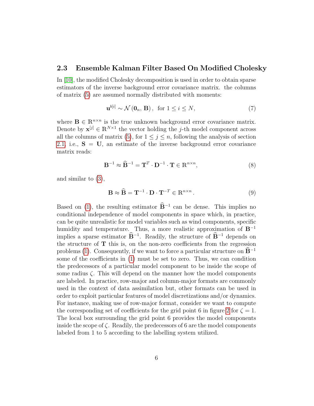### 2.3 Ensemble Kalman Filter Based On Modified Cholesky

In [\[10\]](#page-21-4), the modified Cholesky decomposition is used in order to obtain sparse estimators of the inverse background error covariance matrix. the columns of matrix [\(5\)](#page-5-2) are assumed normally distributed with moments:

$$
\mathbf{u}^{b[i]} \sim \mathcal{N}\left(\mathbf{0}_n, \mathbf{B}\right), \text{ for } 1 \le i \le N,\tag{7}
$$

where  $\mathbf{B} \in \mathbb{R}^{n \times n}$  is the true unknown background error covariance matrix. Denote by  $\mathbf{x}^{[j]} \in \mathbb{R}^{N \times 1}$  the vector holding the j-th model component across all the columns of matrix [\(5\)](#page-5-2), for  $1 \leq j \leq n$ , following the analysis of section [2.1,](#page-3-1) i.e.,  $S = U$ , an estimate of the inverse background error covariance matrix reads:

$$
\mathbf{B}^{-1} \approx \widehat{\mathbf{B}}^{-1} = \mathbf{T}^T \cdot \mathbf{D}^{-1} \cdot \mathbf{T} \in \mathbb{R}^{n \times n},\tag{8}
$$

and similar to [\(3\)](#page-4-0),

$$
\mathbf{B} \approx \widehat{\mathbf{B}} = \mathbf{T}^{-1} \cdot \mathbf{D} \cdot \mathbf{T}^{-T} \in \mathbb{R}^{n \times n}.
$$
 (9)

Based on [\(1\)](#page-4-1), the resulting estimator  $\mathbf{B}^{-1}$  can be dense. This implies no conditional independence of model components in space which, in practice, can be quite unrealistic for model variables such as wind components, specific humidity and temperature. Thus, a more realistic approximation of B<sup>−</sup><sup>1</sup> implies a sparse estimator  $\mathbf{B}^{-1}$ . Readily, the structure of  $\mathbf{B}^{-1}$  depends on the structure of  $T$  this is, on the non-zero coefficients from the regression problems [\(1\)](#page-4-1). Consequently, if we want to force a particular structure on  $\mathbf{B}^{-1}$ some of the coefficients in [\(1\)](#page-4-1) must be set to zero. Thus, we can condition the predecessors of a particular model component to be inside the scope of some radius  $\zeta$ . This will depend on the manner how the model components are labeled. In practice, row-major and column-major formats are commonly used in the context of data assimilation but, other formats can be used in order to exploit particular features of model discretizations and/or dynamics. For instance, making use of row-major format, consider we want to compute the corresponding set of coefficients for the grid point 6 in figure [2](#page-7-0) for  $\zeta = 1$ . The local box surrounding the grid point 6 provides the model components inside the scope of  $\zeta$ . Readily, the predecessors of 6 are the model components labeled from 1 to 5 according to the labelling system utilized.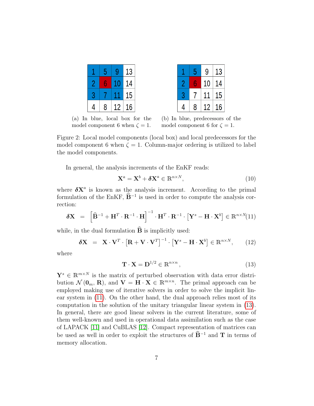<span id="page-7-0"></span>

|   | 5 |    | 13 |
|---|---|----|----|
|   |   | Π  | 14 |
| 3 |   |    | 15 |
| 4 | 8 | 12 | L6 |

|   | 5 | 9  | 13 |
|---|---|----|----|
| 2 |   | 10 | 14 |
| 8 |   | 11 | 15 |
|   | 8 |    | 6  |

(a) In blue, local box for the model component 6 when  $\zeta = 1$ .

(b) In blue, predecessors of the model component 6 for  $\zeta = 1$ .

Figure 2: Local model components (local box) and local predecessors for the model component 6 when  $\zeta = 1$ . Column-major ordering is utilized to label the model components.

In general, the analysis increments of the EnKF reads:

$$
\mathbf{X}^a = \mathbf{X}^b + \boldsymbol{\delta} \mathbf{X}^a \in \mathbb{R}^{n \times N},\tag{10}
$$

where  $\delta X^a$  is known as the analysis increment. According to the primal formulation of the EnKF,  $\hat{\mathbf{B}}^{-1}$  is used in order to compute the analysis correction:

<span id="page-7-1"></span>
$$
\delta \mathbf{X} = \left[ \widehat{\mathbf{B}}^{-1} + \mathbf{H}^T \cdot \mathbf{R}^{-1} \cdot \mathbf{H} \right]^{-1} \cdot \mathbf{H}^T \cdot \mathbf{R}^{-1} \cdot \left[ \mathbf{Y}^s - \mathbf{H} \cdot \mathbf{X}^b \right] \in \mathbb{R}^{n \times N} (11)
$$

while, in the dual formulation  $\widehat{B}$  is implicitly used:

$$
\delta \mathbf{X} = \mathbf{X} \cdot \mathbf{V}^T \cdot \left[ \mathbf{R} + \mathbf{V} \cdot \mathbf{V}^T \right]^{-1} \cdot \left[ \mathbf{Y}^s - \mathbf{H} \cdot \mathbf{X}^b \right] \in \mathbb{R}^{n \times N}, \qquad (12)
$$

where

<span id="page-7-2"></span>
$$
\mathbf{T} \cdot \mathbf{X} = \mathbf{D}^{1/2} \in \mathbb{R}^{n \times n},\tag{13}
$$

 $\mathbf{Y}^s \in \mathbb{R}^{m \times N}$  is the matrix of perturbed observation with data error distribution  $\mathcal{N}(\mathbf{0}_m, \mathbf{R})$ , and  $\mathbf{V} = \mathbf{H} \cdot \mathbf{X} \in \mathbb{R}^{m \times n}$ . The primal approach can be employed making use of iterative solvers in order to solve the implicit linear system in [\(11\)](#page-7-1). On the other hand, the dual approach relies most of its computation in the solution of the unitary triangular linear system in [\(13\)](#page-7-2). In general, there are good linear solvers in the current literature, some of them well-known and used in operational data assimilation such as the case of LAPACK [\[11\]](#page-21-5) and CuBLAS [\[12\]](#page-21-6). Compact representation of matrices can be used as well in order to exploit the structures of  $\widehat{\mathbf{B}}^{-1}$  and T in terms of memory allocation.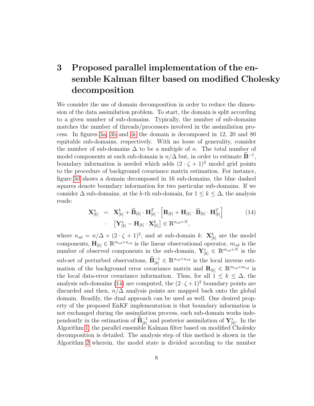# <span id="page-8-0"></span>3 Proposed parallel implementation of the ensemble Kalman filter based on modified Cholesky decomposition

We consider the use of domain decomposition in order to reduce the dimension of the data assimilation problem. To start, the domain is split according to a given number of sub-domains. Typically, the number of sub-domains matches the number of threads/processors involved in the assimilation process. In figures [3a, 3b](#page-9-0) and [3c](#page-9-0) the domain is decomposed in 12, 20 and 80 equitable sub-domains, respectively. With no loose of generality, consider the number of sub-domains  $\Delta$  to be a multiple of n. The total number of model components at each sub-domain is  $n/\Delta$  but, in order to estimate  $\widehat{\mathbf{B}}^{-1}$ , boundary information is needed which adds  $(2 \cdot \zeta + 1)^2$  model grid points to the procedure of background covariance matrix estimation. For instance, figure [3d](#page-9-0) shows a domain decomposed in 16 sub-domains, the blue dashed squares denote boundary information for two particular sub-domains. If we consider  $\Delta$  sub-domains, at the k-th sub-domain, for  $1 \leq k \leq \Delta$ , the analysis reads:

<span id="page-8-1"></span>
$$
\mathbf{X}_{[k]}^{a} = \mathbf{X}_{[k]}^{b} + \widehat{\mathbf{B}}_{[k]} \cdot \mathbf{H}_{[k]}^{T} \cdot \left[ \mathbf{R}_{[k]} + \mathbf{H}_{[k]} \cdot \widehat{\mathbf{B}}_{[k]} \cdot \mathbf{H}_{[k]}^{T} \right] \cdot \left[ \mathbf{Y}_{[k]}^{s} - \mathbf{H}_{[k]} \cdot \mathbf{X}_{[k]}^{b} \right] \in \mathbb{R}^{n_{sd} \times N},
$$
\n(14)

where  $n_{sd} = n/\Delta + (2 \cdot \zeta + 1)^2$ , and at sub-domain k:  $\mathbf{X}^b_{[k]}$  are the model components,  $\mathbf{H}_{[k]} \in \mathbb{R}^{m_{sd} \times n_{sd}}$  is the linear observational operator,  $m_{sd}$  is the number of observed components in the sub-domain,  $\mathbf{Y}_{[k]}^s \in \mathbb{R}^{m_{sd} \times N}$  is the sub-set of perturbed observations,  $\widehat{\mathbf{B}}_{[k]}^{-1} \in \mathbb{R}^{n_{sd}\times n_{sd}}$  is the local inverse estimation of the background error covariance matrix and  $\mathbf{R}_{[k]} \in \mathbb{R}^{m_{sd}\times m_{sd}}$  is the local data-error covariance information. Thus, for all  $1 \leq k \leq \Delta$ , the analysis sub-domains [\(14\)](#page-8-1) are computed, the  $(2 \cdot \zeta + 1)^2$  boundary points are discarded and then,  $n/\Delta$  analysis points are mapped back onto the global domain. Readily, the dual approach can be used as well. One desired property of the proposed EnKF implementation is that boundary information is not exchanged during the assimilation process, each sub-domain works independently in the estimation of  $\widehat{\mathbf{B}}_{[k]}^{-1}$  and posterior assimilation of  $\mathbf{Y}_{[k]}^s$ . In the Algorithm [1,](#page-0-0) the parallel ensemble Kalman filter based on modified Cholesky decomposition is detailed. The analysis step of this method is shown in the Algorithm [2](#page-0-0) wherein, the model state is divided according to the number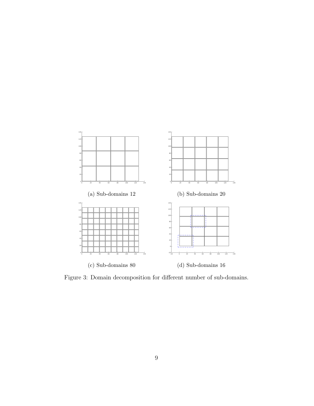<span id="page-9-0"></span>

Figure 3: Domain decomposition for different number of sub-domains.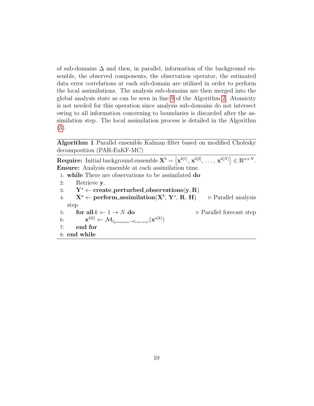of sub-domains  $\Delta$  and then, in parallel, information of the background ensemble, the observed components, the observation operator, the estimated data error correlations at each sub-domain are utilized in order to perform the local assimilations. The analysis sub-domains are then merged into the global analysis state as can be seen in line [9](#page-0-0) of the Algorithm [2.](#page-0-0) Atomicity is not needed for this operation since analysis sub-domains do not intersect owing to all information concerning to boundaries is discarded after the assimilation step. The local assimilation process is detailed in the Algorithm [\(3\)](#page-0-0).

Algorithm 1 Parallel ensemble Kalman filter based on modified Cholesky decomposition (PAR-EnKF-MC)

**Require:** Initial background ensemble  $\mathbf{X}^{b} = [\mathbf{x}^{b[1]}, \mathbf{x}^{b[2]}, \ldots, \mathbf{x}^{b[N]}] \in \mathbb{R}^{n \times N}$ . Ensure: Analysis ensemble at each assimilation time.

1: while There are observations to be assimilated do

2: Retrieve y. 3:  $Y^s \leftarrow \text{create\_perturbed\_observations}(y, R)$  $\mathrm{A:}\qquad\mathrm{X}^{a}\leftarrow\mathrm{perform\_assimization}(\mathrm{X}^{b},\,\mathrm{Y}^{s})$  $\triangleright$  Parallel analysis step 5: for all  $k \leftarrow 1 \rightarrow N$  do  $\Rightarrow$  Parallel forecast step 6:  $\mathbf{x}^{b[k]} \leftarrow \mathcal{M}_{t_{previous} \rightarrow t_{current}}(\mathbf{x}^{a[k]})$ 7: end for 8: end while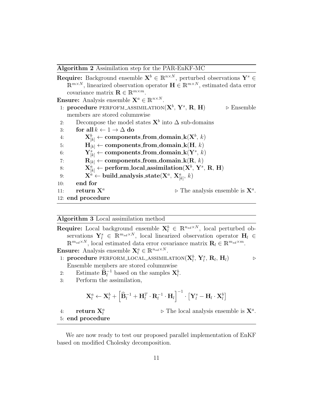Algorithm 2 Assimilation step for the PAR-EnKF-MC

|     | <b>Require:</b> Background ensemble $X^b \in \mathbb{R}^{n \times N}$ , perturbed observations $Y^s \in$                    |
|-----|-----------------------------------------------------------------------------------------------------------------------------|
|     | $\mathbb{R}^{m \times N}$ , linearized observation operator $\mathbf{H} \in \mathbb{R}^{m \times N}$ , estimated data error |
|     | covariance matrix $\mathbf{R} \in \mathbb{R}^{m \times m}$ .                                                                |
|     | <b>Ensure:</b> Analysis ensemble $X^a \in \mathbb{R}^{n \times N}$ .                                                        |
|     | 1: procedure PERFOFM_ASSIMILATION( $X^b$ , $Y^s$ , R, H)<br>$\triangleright$ Ensemble                                       |
|     | members are stored columnwise                                                                                               |
| 2:  | Decompose the model states $X^b$ into $\Delta$ sub-domains                                                                  |
| 3:  | for all $k \leftarrow 1 \rightarrow \Delta$ do                                                                              |
| 4:  | $\mathbf{X}_{[k]}^b \leftarrow \text{components\_from\_domain\_k}(\mathbf{X}^b, k)$                                         |
| 5:  | $H_{[k]} \leftarrow$ components from domain $k(H, k)$                                                                       |
| 6:  | $\mathbf{Y}_{[k]}^s \leftarrow \text{components\_from\_domain\_k}(\mathbf{Y}^s, k)$                                         |
| 7:  | $\mathbf{R}_{[k]} \leftarrow$ components from domain $\mathbf{k}(\mathbf{R}, k)$                                            |
| 8:  | $\mathbf{X}_{[k]}^a \leftarrow \text{perform\_local_assimization}(\mathbf{X}^b, \mathbf{Y}^s, \mathbf{R}, \mathbf{H})$      |
| 9:  | $\mathbf{X}^a \leftarrow \text{build\_analysis\_state}(\mathbf{X}^a, \, \mathbf{X}^a_{[k]}, \, k)$                          |
| 10: | end for                                                                                                                     |
| 11: | return $X^a$<br>$\triangleright$ The analysis ensemble is $X^a$ .                                                           |
|     | 12: end procedure                                                                                                           |
|     |                                                                                                                             |

Algorithm 3 Local assimilation method

**Require:** Local background ensemble  $\mathbf{X}_l^b \in \mathbb{R}^{n_{sd} \times N}$ , local perturbed observations  $\mathbf{Y}_{l}^{s} \in \mathbb{R}^{m_{sd} \times N}$ , local linearized observation operator  $\mathbf{H}_{l} \in$  $\mathbb{R}^{m_{sd}\times N}$ , local estimated data error covariance matrix  $\mathbf{R}_l \in \mathbb{R}^{m_{sd}\times m}$ . **Ensure:** Analysis ensemble  $\mathbf{X}_l^a \in \mathbb{R}^{n_{sd} \times N}$ .

- 1: procedure PERFORM\_LOCAL\_ASSIMILATION $({\mathbf{X}}_l^b,\,{\mathbf{Y}}_l^s,\,{\mathbf{R}}_l,\,{\mathbf{H}}_l)$   $\quad\Rightarrow$ Ensemble members are stored columnwise
- 2: Estimate  $\widehat{\mathbf{B}}_l^{-1}$  based on the samples  $\mathbf{X}_l^b$ .
- 3: Perform the assimilation,

$$
\mathbf{X}_l^a \leftarrow \mathbf{X}_l^b + \left[\widehat{\mathbf{B}}_l^{-1} + \mathbf{H}_l^T\cdot \mathbf{R}_l^{-1}\cdot \mathbf{H}_l\right]^{-1}\cdot\left[\mathbf{Y}_l^s - \mathbf{H}_l\cdot \mathbf{X}_l^b\right]
$$

4: return  $\mathbf{X}_l^a$ 

 $\triangleright$  The local analysis ensemble is  $\mathbf{X}^a$ .

5: end procedure

We are now ready to test our proposed parallel implementation of EnKF based on modified Cholesky decomposition.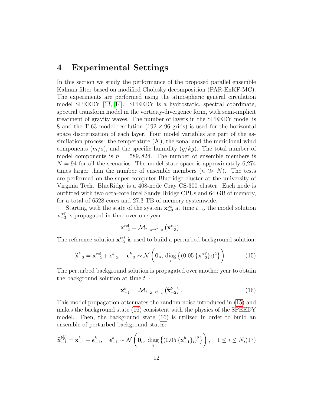# <span id="page-12-0"></span>4 Experimental Settings

In this section we study the performance of the proposed parallel ensemble Kalman filter based on modified Cholesky decomposition (PAR-EnKF-MC). The experiments are performed using the atmospheric general circulation model SPEEDY [\[13,](#page-22-0) [14\]](#page-22-1). SPEEDY is a hydrostatic, spectral coordinate, spectral transform model in the vorticity-divergence form, with semi-implicit treatment of gravity waves. The number of layers in the SPEEDY model is 8 and the T-63 model resolution  $(192 \times 96 \text{ grids})$  is used for the horizontal space discretization of each layer. Four model variables are part of the assimilation process: the temperature  $(K)$ , the zonal and the meridional wind components  $(m/s)$ , and the specific humidity  $(g/kg)$ . The total number of model components is  $n = 589,824$ . The number of ensemble members is  $N = 94$  for all the scenarios. The model state space is approximately 6,274 times larger than the number of ensemble members  $(n \gg N)$ . The tests are performed on the super computer Blueridge cluster at the university of Virginia Tech. BlueRidge is a 408-node Cray CS-300 cluster. Each node is outfitted with two octa-core Intel Sandy Bridge CPUs and 64 GB of memory, for a total of 6528 cores and 27.3 TB of memory systemwide.

Starting with the state of the system  $\mathbf{x}_{-3}^{\text{ref}}$  at time  $t_{-3}$ , the model solution  $\mathbf{x}_{-3}^{\text{ref}}$  is propagated in time over one year:

$$
\mathbf{x}_{-2}^{\text{ref}} = \mathcal{M}_{t_{-3} \to t_{-2}} \left( \mathbf{x}_{-3}^{\text{ref}} \right).
$$

The reference solution  $\mathbf{x}_{-2}^{\text{ref}}$  is used to build a perturbed background solution:

<span id="page-12-1"></span>
$$
\widehat{\mathbf{x}}_{-2}^{b} = \mathbf{x}_{-2}^{\text{ref}} + \boldsymbol{\epsilon}_{-2}^{b}, \quad \boldsymbol{\epsilon}_{-2}^{b} \sim \mathcal{N}\left(\mathbf{0}_{n}, \operatorname{diag}\left\{(0.05\left\{\mathbf{x}_{-2}^{\text{ref}}\right\}_{i}\right)^{2}\right\}\right). \tag{15}
$$

The perturbed background solution is propagated over another year to obtain the background solution at time  $t_{-1}$ :

<span id="page-12-2"></span>
$$
\mathbf{x}_{-1}^{b} = \mathcal{M}_{t_{-2} \to t_{-1}}\left(\widehat{\mathbf{x}}_{-2}^{b}\right). \tag{16}
$$

This model propagation attenuates the random noise introduced in [\(15\)](#page-12-1) and makes the background state [\(16\)](#page-12-2) consistent with the physics of the SPEEDY model. Then, the background state [\(16\)](#page-12-2) is utilized in order to build an ensemble of perturbed background states:

$$
\widehat{\mathbf{x}}_{-1}^{b[i]} = \mathbf{x}_{-1}^b + \boldsymbol{\epsilon}_{-1}^b, \quad \boldsymbol{\epsilon}_{-1}^b \sim \mathcal{N}\left(\mathbf{0}_n, \, \text{diag}\left\{(0.05\,\{\mathbf{x}_{-1}^b\}_i)^2\right\}\right), \quad 1 \le i \le N, (17)
$$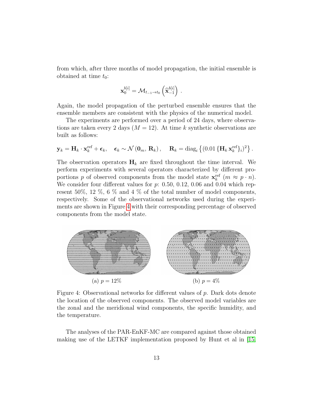from which, after three months of model propagation, the initial ensemble is obtained at time  $t_0$ :

$$
\mathbf{x}_0^{b[i]} = \mathcal{M}_{t_{-1} \to t_0} \left( \widehat{\mathbf{x}}_{-1}^{b[i]} \right) .
$$

Again, the model propagation of the perturbed ensemble ensures that the ensemble members are consistent with the physics of the numerical model.

The experiments are performed over a period of 24 days, where observations are taken every 2 days  $(M = 12)$ . At time k synthetic observations are built as follows:

$$
\mathbf{y}_k = \mathbf{H}_k \cdot \mathbf{x}_k^{\text{ref}} + \boldsymbol{\epsilon}_k, \quad \boldsymbol{\epsilon}_k \sim \mathcal{N}\left(\mathbf{0}_m, \, \mathbf{R}_k\right), \quad \mathbf{R}_k = \text{diag}_i \left\{ \left(0.01 \left\{ \mathbf{H}_k \, \mathbf{x}_k^{\text{ref}} \right\}_i \right)^2 \right\}.
$$

The observation operators  $H_k$  are fixed throughout the time interval. We perform experiments with several operators characterized by different proportions p of observed components from the model state  $\mathbf{x}_k^{\text{ref}}$   $(m \approx p \cdot n)$ . We consider four different values for  $p: 0.50, 0.12, 0.06$  and 0.04 which represent 50%, 12 %, 6 % and 4 % of the total number of model components, respectively. Some of the observational networks used during the experiments are shown in Figure [4](#page-13-0) with their corresponding percentage of observed components from the model state.

<span id="page-13-0"></span>

Figure 4: Observational networks for different values of p. Dark dots denote the location of the observed components. The observed model variables are the zonal and the meridional wind components, the specific humidity, and the temperature.

The analyses of the PAR-EnKF-MC are compared against those obtained making use of the LETKF implementation proposed by Hunt et al in [\[15,](#page-22-2)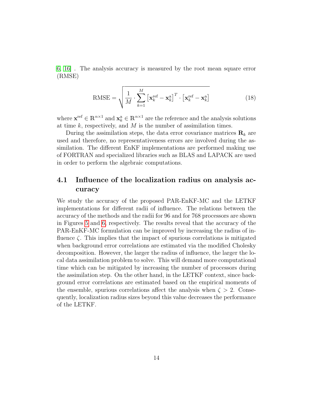[6,](#page-21-0) [16\]](#page-22-3) . The analysis accuracy is measured by the root mean square error (RMSE)

$$
\text{RMSE} = \sqrt{\frac{1}{M} \cdot \sum_{k=1}^{M} \left[ \mathbf{x}_k^{\text{ref}} - \mathbf{x}_k^{\text{a}} \right]^T \cdot \left[ \mathbf{x}_k^{\text{ref}} - \mathbf{x}_k^{\text{a}} \right]}
$$
(18)

where  $\mathbf{x}^{\text{ref}} \in \mathbb{R}^{n \times 1}$  and  $\mathbf{x}_k^{\text{a}} \in \mathbb{R}^{n \times 1}$  are the reference and the analysis solutions at time  $k$ , respectively, and  $M$  is the number of assimilation times.

During the assimilation steps, the data error covariance matrices  $\mathbf{R}_k$  are used and therefore, no representativeness errors are involved during the assimilation. The different EnKF implementations are performed making use of FORTRAN and specialized libraries such as BLAS and LAPACK are used in order to perform the algebraic computations.

### 4.1 Influence of the localization radius on analysis accuracy

We study the accuracy of the proposed PAR-EnKF-MC and the LETKF implementations for different radii of influence. The relations between the accuracy of the methods and the radii for 96 and for 768 processors are shown in Figures [5](#page-15-0) and [6,](#page-15-1) respectively. The results reveal that the accuracy of the PAR-EnKF-MC formulation can be improved by increasing the radius of influence  $\zeta$ . This implies that the impact of spurious correlations is mitigated when background error correlations are estimated via the modified Cholesky decomposition. However, the larger the radius of influence, the larger the local data assimilation problem to solve. This will demand more computational time which can be mitigated by increasing the number of processors during the assimilation step. On the other hand, in the LETKF context, since background error correlations are estimated based on the empirical moments of the ensemble, spurious correlations affect the analysis when  $\zeta > 2$ . Consequently, localization radius sizes beyond this value decreases the performance of the LETKF.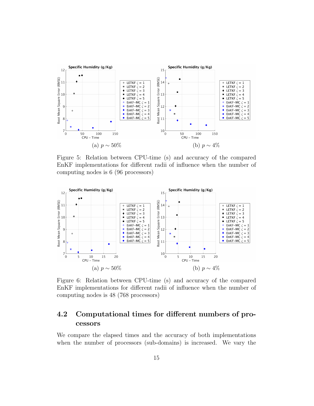<span id="page-15-0"></span>

Figure 5: Relation between CPU-time (s) and accuracy of the compared EnKF implementations for different radii of influence when the number of computing nodes is 6 (96 processors)

<span id="page-15-1"></span>

Figure 6: Relation between CPU-time (s) and accuracy of the compared EnKF implementations for different radii of influence when the number of computing nodes is 48 (768 processors)

# 4.2 Computational times for different numbers of processors

We compare the elapsed times and the accuracy of both implementations when the number of processors (sub-domains) is increased. We vary the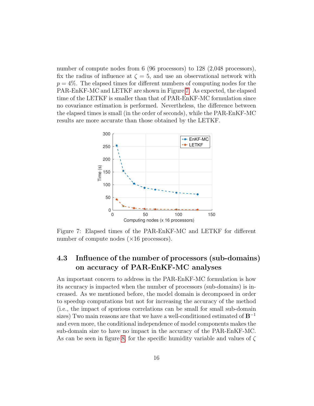number of compute nodes from 6 (96 processors) to 128 (2,048 processors), fix the radius of influence at  $\zeta = 5$ , and use an observational network with  $p = 4\%$ . The elapsed times for different numbers of computing nodes for the PAR-EnKF-MC and LETKF are shown in Figure [7.](#page-16-0) As expected, the elapsed time of the LETKF is smaller than that of PAR-EnKF-MC formulation since no covariance estimation is performed. Nevertheless, the difference between the elapsed times is small (in the order of seconds), while the PAR-EnKF-MC results are more accurate than those obtained by the LETKF.

<span id="page-16-0"></span>

Figure 7: Elapsed times of the PAR-EnKF-MC and LETKF for different number of compute nodes  $(\times 16$  processors).

# 4.3 Influence of the number of processors (sub-domains) on accuracy of PAR-EnKF-MC analyses

An important concern to address in the PAR-EnKF-MC formulation is how its accuracy is impacted when the number of processors (sub-domains) is increased. As we mentioned before, the model domain is decomposed in order to speedup computations but not for increasing the accuracy of the method (i.e., the impact of spurious correlations can be small for small sub-domain sizes) Two main reasons are that we have a well-conditioned estimated of  $B^{-1}$ and even more, the conditional independence of model components makes the sub-domain size to have no impact in the accuracy of the PAR-EnKF-MC. As can be seen in figure [8,](#page-17-0) for the specific humidity variable and values of  $\zeta$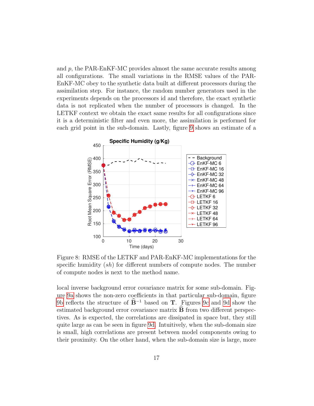and  $p$ , the PAR-EnKF-MC provides almost the same accurate results among all configurations. The small variations in the RMSE values of the PAR-EnKF-MC obey to the synthetic data built at different processors during the assimilation step. For instance, the random number generators used in the experiments depends on the processors id and therefore, the exact synthetic data is not replicated when the number of processors is changed. In the LETKF context we obtain the exact same results for all configurations since it is a deterministic filter and even more, the assimilation is performed for each grid point in the sub-domain. Lastly, figure [9](#page-18-1) shows an estimate of a

<span id="page-17-0"></span>

Figure 8: RMSE of the LETKF and PAR-EnKF-MC implementations for the specific humidity  $(sh)$  for different numbers of compute nodes. The number of compute nodes is next to the method name.

local inverse background error covariance matrix for some sub-domain. Figure [9a](#page-18-1) shows the non-zero coefficients in that particular sub-domain, figure [9b](#page-18-1) reflects the structure of  $\mathbf{B}^{-1}$  based on **T**. Figures [9c](#page-18-1) and [9d](#page-18-1) show the estimated background error covariance matrix  $\hat{\mathbf{B}}$  from two different perspectives. As is expected, the correlations are dissipated in space but, they still quite large as can be seen in figure [9d.](#page-18-1) Intuitively, when the sub-domain size is small, high correlations are present between model components owing to their proximity. On the other hand, when the sub-domain size is large, more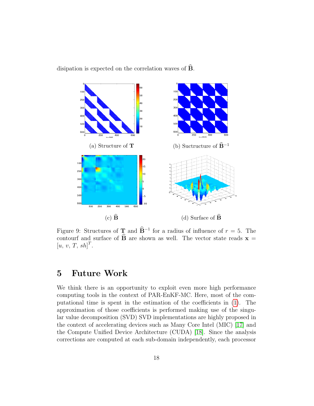<span id="page-18-1"></span>disipation is expected on the correlation waves of  $\overline{B}$ .



Figure 9: Structures of **T** and  $\hat{\mathbf{B}}^{-1}$  for a radius of influence of  $r = 5$ . The contourf and surface of  $\widehat{B}$  are shown as well. The vector state reads  $x =$  $[u, v, T, sh]^T$ .

# <span id="page-18-0"></span>5 Future Work

We think there is an opportunity to exploit even more high performance computing tools in the context of PAR-EnKF-MC. Here, most of the computational time is spent in the estimation of the coefficients in [\(1\)](#page-4-1). The approximation of those coefficients is performed making use of the singular value decomposition (SVD) SVD implementations are highly proposed in the context of accelerating devices such as Many Core Intel (MIC) [\[17\]](#page-22-4) and the Compute Unified Device Architecture (CUDA) [\[18\]](#page-22-5). Since the analysis corrections are computed at each sub-domain independently, each processor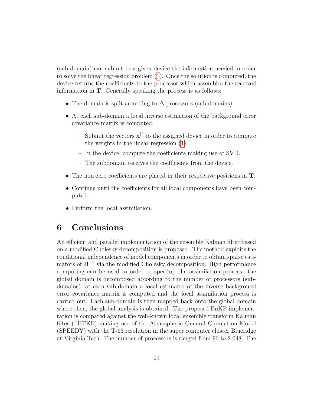(sub-domain) can submit to a given device the information needed in order to solve the linear regression problem [\(1\)](#page-4-1). Once the solution is computed, the device returns the coefficients to the processor which assembles the received information in T. Generally speaking the process is as follows:

- The domain is split according to  $\Delta$  processors (sub-domains)
- At each sub-domain a local inverse estimation of the background error covariance matrix is computed:
	- Submit the vectors  $\mathbf{x}^{[\cdot]}$  to the assigned device in order to compute the weights in the linear regression [\(1\)](#page-4-1).
	- In the device, compute the coefficients making use of SVD.
	- The subdomain receives the coefficients from the device.
- The non-zero coefficients are placed in their respective positions in T.
- Continue until the coefficients for all local components have been computed.
- Perform the local assimilation.

# <span id="page-19-0"></span>6 Conclusions

An efficient and parallel implementation of the ensemble Kalman filter based on a modified Cholesky decomposition is proposed. The method exploits the conditional independence of model components in order to obtain sparse estimators of  $\mathbf{B}^{-1}$  via the modified Cholesky decomposition. High performance computing can be used in order to speedup the assimilation process: the global domain is decomposed according to the number of processors (subdomains), at each sub-domain a local estimator of the inverse background error covariance matrix is computed and the local assimilation process is carried out. Each sub-domain is then mapped back onto the global domain where then, the global analysis is obtained. The proposed EnKF implementation is compared against the well-known local ensemble transform Kalman filter (LETKF) making use of the Atmospheric General Circulation Model (SPEEDY) with the T-63 resolution in the super computer cluster Blueridge at Virginia Tech. The number of processors is ranged from 96 to 2,048. The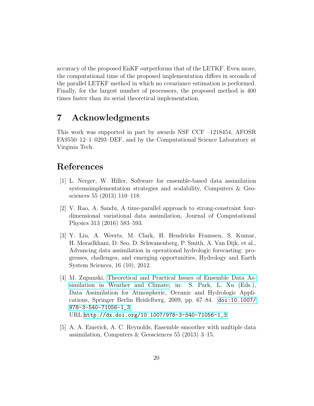accuracy of the proposed EnKF outperforms that of the LETKF. Even more, the computational time of the proposed implementation differs in seconds of the parallel LETKF method in which no covariance estimation is performed. Finally, for the largest number of processors, the proposed method is 400 times faster than its serial theoretical implementation.

# 7 Acknowledgments

This work was supported in part by awards NSF CCF –1218454, AFOSR FA9550–12–1–0293–DEF, and by the Computational Science Laboratory at Virginia Tech.

# References

- <span id="page-20-0"></span>[1] L. Nerger, W. Hiller, Software for ensemble-based data assimilation systemsimplementation strategies and scalability, Computers & Geosciences 55 (2013) 110–118.
- <span id="page-20-1"></span>[2] V. Rao, A. Sandu, A time-parallel approach to strong-constraint fourdimensional variational data assimilation, Journal of Computational Physics 313 (2016) 583–593.
- <span id="page-20-2"></span>[3] Y. Liu, A. Weerts, M. Clark, H. Hendricks Franssen, S. Kumar, H. Moradkhani, D. Seo, D. Schwanenberg, P. Smith, A. Van Dijk, et al., Advancing data assimilation in operational hydrologic forecasting: progresses, challenges, and emerging opportunities, Hydrology and Earth System Sciences, 16 (10), 2012.
- <span id="page-20-3"></span>[4] M. Zupanski, [Theoretical and Practical Issues of Ensemble Data As](http://dx.doi.org/10.1007/978-3-540-71056-1_3)[similation in Weather and Climate,](http://dx.doi.org/10.1007/978-3-540-71056-1_3) in: S. Park, L. Xu (Eds.), Data Assimilation for Atmospheric, Oceanic and Hydrologic Applications, Springer Berlin Heidelberg, 2009, pp. 67–84. [doi:10.1007/](http://dx.doi.org/10.1007/978-3-540-71056-1_3) [978-3-540-71056-1\\_3](http://dx.doi.org/10.1007/978-3-540-71056-1_3). URL [http://dx.doi.org/10.1007/978-3-540-71056-1\\_3](http://dx.doi.org/10.1007/978-3-540-71056-1_3)
- <span id="page-20-4"></span>[5] A. A. Emerick, A. C. Reynolds, Ensemble smoother with multiple data assimilation, Computers & Geosciences 55 (2013) 3–15.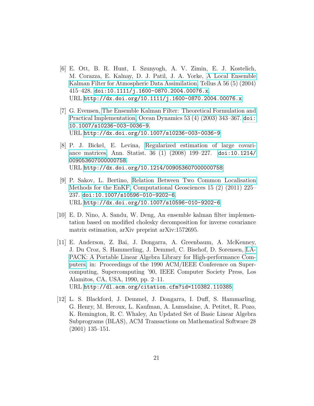- <span id="page-21-0"></span>[6] E. Ott, B. R. Hunt, I. Szunyogh, A. V. Zimin, E. J. Kostelich, M. Corazza, E. Kalnay, D. J. Patil, J. A. Yorke, [A Local Ensemble](http://dx.doi.org/10.1111/j.1600-0870.2004.00076.x) [Kalman Filter for Atmospheric Data Assimilation,](http://dx.doi.org/10.1111/j.1600-0870.2004.00076.x) Tellus A 56 (5) (2004)  $415-428.$  [doi:10.1111/j.1600-0870.2004.00076.x](http://dx.doi.org/10.1111/j.1600-0870.2004.00076.x). URL <http://dx.doi.org/10.1111/j.1600-0870.2004.00076.x>
- <span id="page-21-1"></span>[7] G. Evensen, [The Ensemble Kalman Filter: Theoretical Formulation and](http://dx.doi.org/10.1007/s10236-003-0036-9) [Practical Implementation,](http://dx.doi.org/10.1007/s10236-003-0036-9) Ocean Dynamics 53 (4) (2003) 343–367. [doi:](http://dx.doi.org/10.1007/s10236-003-0036-9) [10.1007/s10236-003-0036-9](http://dx.doi.org/10.1007/s10236-003-0036-9). URL <http://dx.doi.org/10.1007/s10236-003-0036-9>
- <span id="page-21-2"></span>[8] P. J. Bickel, E. Levina, [Regularized estimation of large covari](http://dx.doi.org/10.1214/009053607000000758)[ance matrices,](http://dx.doi.org/10.1214/009053607000000758) Ann. Statist. 36 (1) (2008) 199–227. [doi:10.1214/](http://dx.doi.org/10.1214/009053607000000758) [009053607000000758](http://dx.doi.org/10.1214/009053607000000758). URL <http://dx.doi.org/10.1214/009053607000000758>
- <span id="page-21-3"></span>[9] P. Sakov, L. Bertino, [Relation Between Two Common Localisation](http://dx.doi.org/10.1007/s10596-010-9202-6) [Methods for the EnKF,](http://dx.doi.org/10.1007/s10596-010-9202-6) Computational Geosciences 15 (2) (2011) 225– 237. [doi:10.1007/s10596-010-9202-6](http://dx.doi.org/10.1007/s10596-010-9202-6). URL <http://dx.doi.org/10.1007/s10596-010-9202-6>
- <span id="page-21-4"></span>[10] E. D. Nino, A. Sandu, W. Deng, An ensemble kalman filter implementation based on modified cholesky decomposition for inverse covariance matrix estimation, arXiv preprint arXiv:1572695.
- <span id="page-21-5"></span>[11] E. Anderson, Z. Bai, J. Dongarra, A. Greenbaum, A. McKenney, J. Du Croz, S. Hammerling, J. Demmel, C. Bischof, D. Sorensen, [LA-](http://dl.acm.org/citation.cfm?id=110382.110385)[PACK: A Portable Linear Algebra Library for High-performance Com](http://dl.acm.org/citation.cfm?id=110382.110385)[puters,](http://dl.acm.org/citation.cfm?id=110382.110385) in: Proceedings of the 1990 ACM/IEEE Conference on Supercomputing, Supercomputing '90, IEEE Computer Society Press, Los Alamitos, CA, USA, 1990, pp. 2–11. URL <http://dl.acm.org/citation.cfm?id=110382.110385>
- <span id="page-21-6"></span>[12] L. S. Blackford, J. Demmel, J. Dongarra, I. Duff, S. Hammarling, G. Henry, M. Heroux, L. Kaufman, A. Lumsdaine, A. Petitet, R. Pozo, K. Remington, R. C. Whaley, An Updated Set of Basic Linear Algebra Subprograms (BLAS), ACM Transactions on Mathematical Software 28 (2001) 135–151.